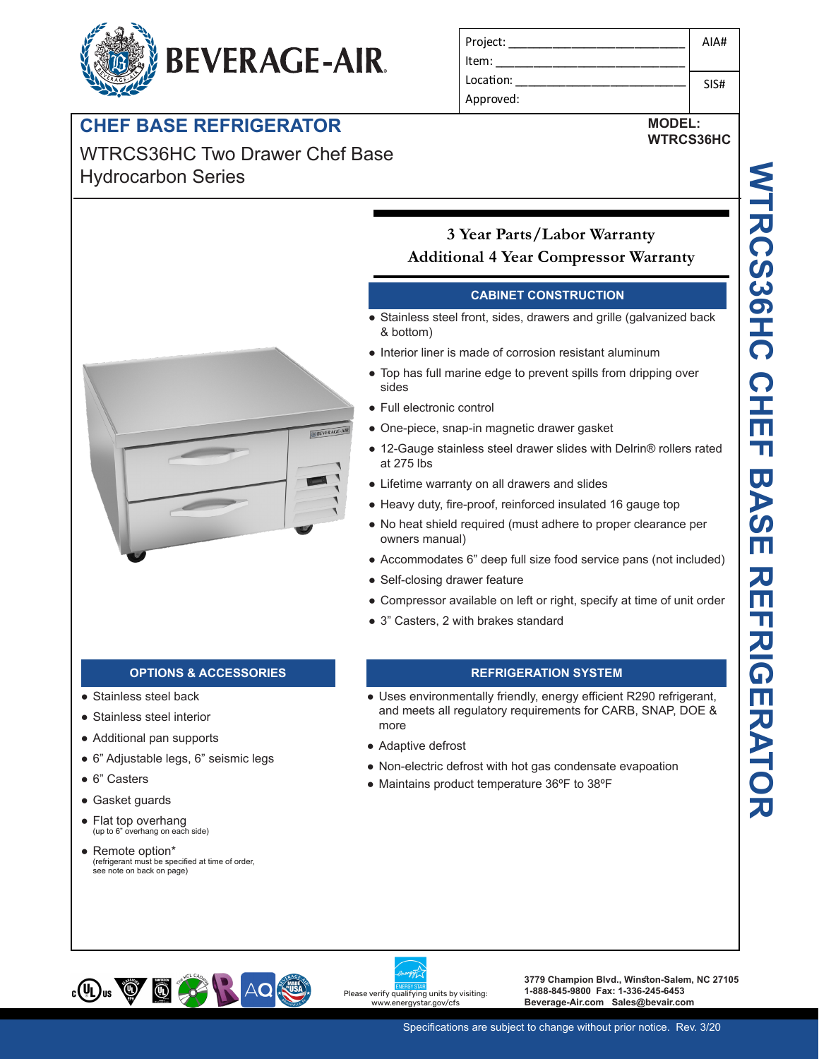# **BEVERAGE-AIR.**

## **CHEF BASE REFRIGERATOR**

WTRCS36HC Two Drawer Chef Base Hydrocarbon Series

| Project:  | AIA# |
|-----------|------|
| Item:     |      |
| Location: | SIS# |
| Approved: |      |

## **MODEL: WTRCS36HC**



## **3 Year Parts/Labor Warranty Additional 4 Year Compressor Warranty**

## **CABINET CONSTRUCTION**

- Stainless steel front, sides, drawers and grille (galvanized back & bottom)
- Interior liner is made of corrosion resistant aluminum
- Top has full marine edge to prevent spills from dripping over sides
- Full electronic control
- One-piece, snap-in magnetic drawer gasket
- 12-Gauge stainless steel drawer slides with Delrin® rollers rated at 275 lbs
- Lifetime warranty on all drawers and slides
- Heavy duty, fire-proof, reinforced insulated 16 gauge top
- No heat shield required (must adhere to proper clearance per owners manual)
- Accommodates 6" deep full size food service pans (not included)
- Self-closing drawer feature
- Compressor available on left or right, specify at time of unit order
- 3" Casters, 2 with brakes standard

- Stainless steel back
- Stainless steel interior
- Additional pan supports
- 6" Adjustable legs, 6" seismic legs
- 6" Casters
- Gasket guards
- Flat top overhang (up to 6" overhang on each side)
- Remote option\* (refrigerant must be specified at time of order, see note on back on page)

## **OPTIONS & ACCESSORIES REFRIGERATION SYSTEM**

- Uses environmentally friendly, energy efficient R290 refrigerant, and meets all regulatory requirements for CARB, SNAP, DOE & more
- Adaptive defrost
- Non-electric defrost with hot gas condensate evapoation
- Maintains product temperature 36ºF to 38ºF



Please verify qualifying units by visiting: w.energystar.gov/cfs

**3779 Champion Blvd., Winston-Salem, NC 27105 1-888-845-9800 Fax: 1-336-245-6453 Beverage-Air.com Sales@bevair.com**